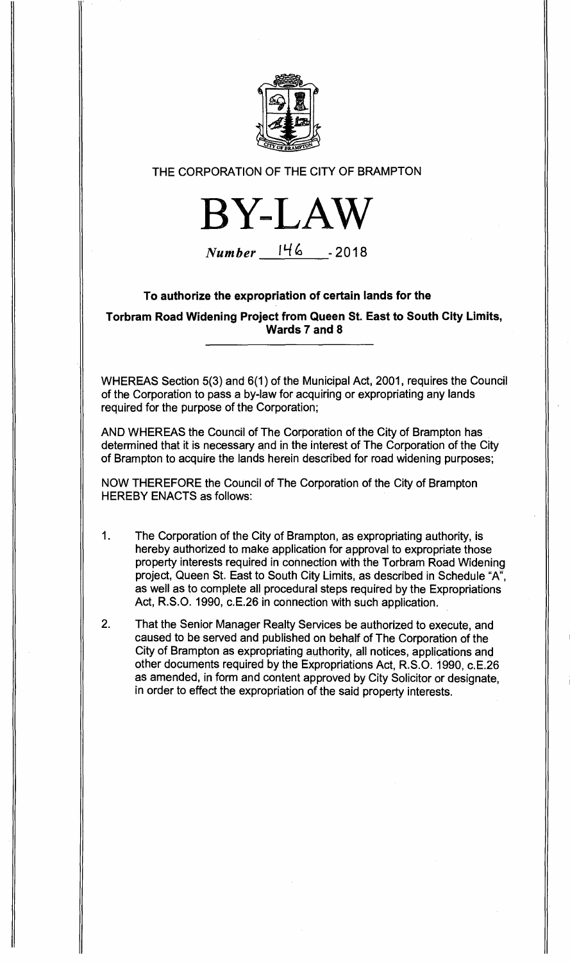

## THE CORPORATION OF THE CITY OF BRAMPTON



**Number 1 14) - 2018** 

## **To authorize the expropriation of certain lands for the**

**Torbram Road Widening Project from Queen St. East to South City Limits, Wards 7 and 8** 

WHEREAS Section 5(3) and 6(1) of the Municipal Act, 2001, requires the Council of the Corporation to pass a by-law for acquiring or expropriating any lands required for the purpose of the Corporation;

AND WHEREAS the Council of The Corporation of the City of Brampton has determined that it is necessary and in the interest of The Corporation of the City of Brampton to acquire the lands herein described for road widening purposes;

NOW THEREFORE the Council of The Corporation of the City of Brampton HEREBY ENACTS as follows:

- 1. The Corporation of the City of Brampton, as expropriating authority, is hereby authorized to make application for approval to expropriate those property interests required in connection with the Torbram Road Widening project, Queen St. East to South City Limits, as described in Schedule "A", as well as to complete all procedural steps required by the Expropriations Act, R.S.O. 1990, c.E.26 in connection with such application.
- 2. That the Senior Manager Realty Services be authorized to execute, and caused to be served and published on behalf of The Corporation of the City of Brampton as expropriating authority, all notices, applications and other documents required by the Expropriations Act, R.S.O. 1990, c.E.26 as amended, in form and content approved by City Solicitor or designate, in order to effect the expropriation of the said property interests.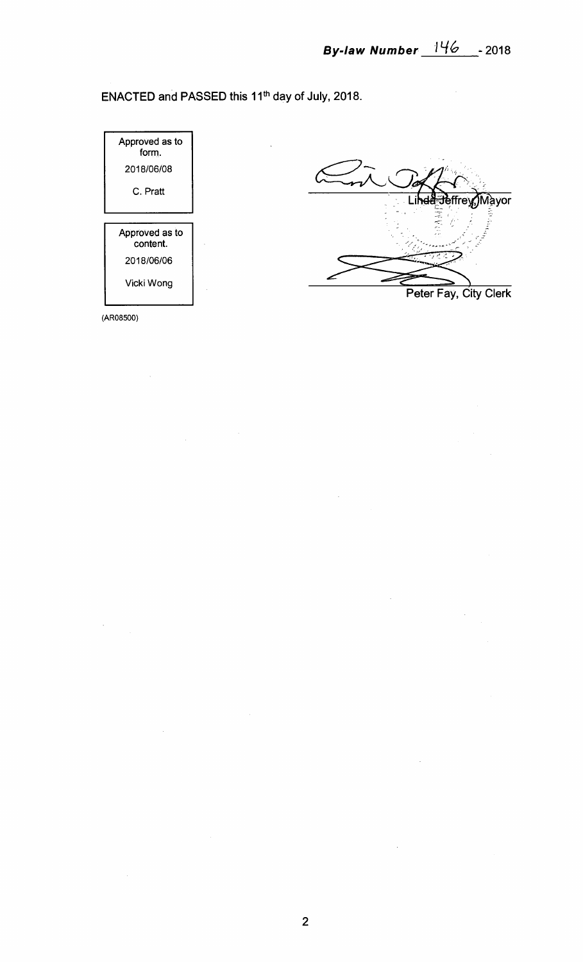$\bar{z}$ 

ENACTED and PASSED this 11<sup>th</sup> day of July, 2018.



(AR08500)

 $\mathcal{L}$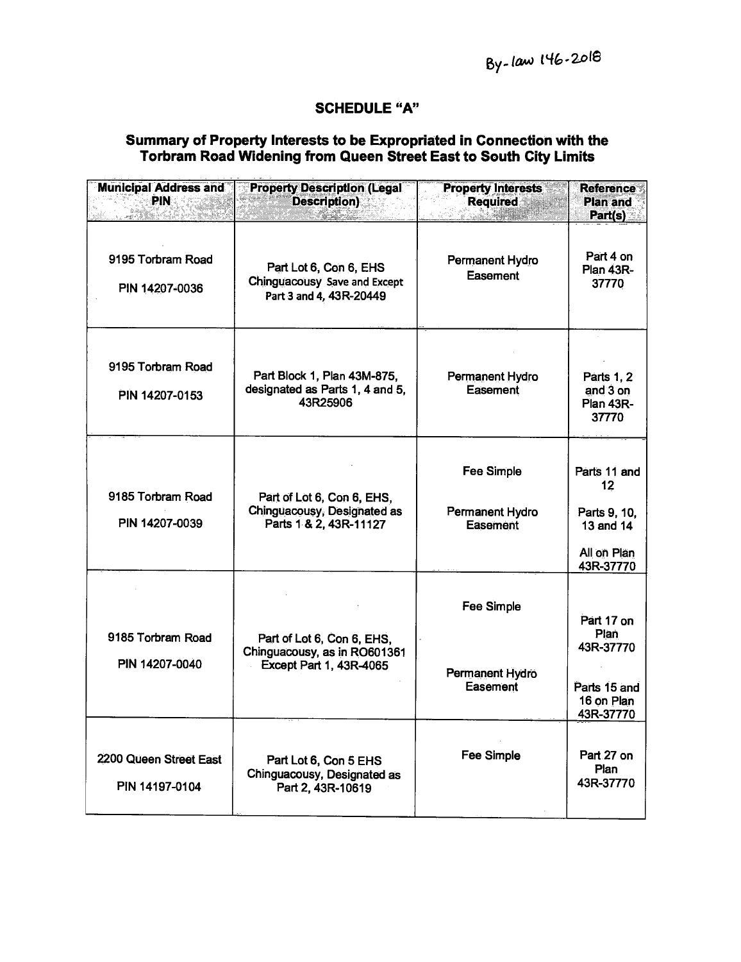## **SCHEDULE "A"**

## **Summary of Property Interests to be Expropriated in Connection with the Torbram Road Widening from Queen Street East to South City Limits**

| <b>Municipal Address and</b><br><b>PIN</b> | <b>Property Description (Legal</b><br><b>Description</b> )                                   | <b>Property Interests</b><br><b>Required</b>            | <b>Reference</b><br><b>Plan and</b><br>Part(s)                              |
|--------------------------------------------|----------------------------------------------------------------------------------------------|---------------------------------------------------------|-----------------------------------------------------------------------------|
| 9195 Torbram Road<br>PIN 14207-0036        | Part Lot 6, Con 6, EHS<br>Chinguacousy Save and Except<br>Part 3 and 4, 43R-20449            | Permanent Hydro<br>Easement                             | Part 4 on<br>Plan 43R-<br>37770                                             |
| 9195 Torbram Road<br>PIN 14207-0153        | Part Block 1, Plan 43M-875,<br>designated as Parts 1, 4 and 5,<br>43R25906                   | Permanent Hydro<br>Easement                             | Parts 1, 2<br>and 3 on<br>Plan 43R-<br>37770                                |
| 9185 Torbram Road<br>PIN 14207-0039        | Part of Lot 6, Con 6, EHS,<br>Chinguacousy, Designated as<br>Parts 1 & 2, 43R-11127          | <b>Fee Simple</b><br><b>Permanent Hydro</b><br>Easement | Parts 11 and<br>12<br>Parts 9, 10,<br>13 and 14<br>All on Plan<br>43R-37770 |
| 9185 Torbram Road<br>PIN 14207-0040        | Part of Lot 6, Con 6, EHS,<br>Chinguacousy, as in RO601361<br><b>Except Part 1, 43R-4065</b> | Fee Simple<br>Permanent Hydro<br>Easement               | Part 17 on<br>Plan<br>43R-37770<br>Parts 15 and<br>16 on Plan<br>43R-37770  |
| 2200 Queen Street East<br>PIN 14197-0104   | Part Lot 6, Con 5 EHS<br>Chinguacousy, Designated as<br>Part 2, 43R-10619                    | <b>Fee Simple</b>                                       | Part 27 on<br>Plan<br>43R-37770                                             |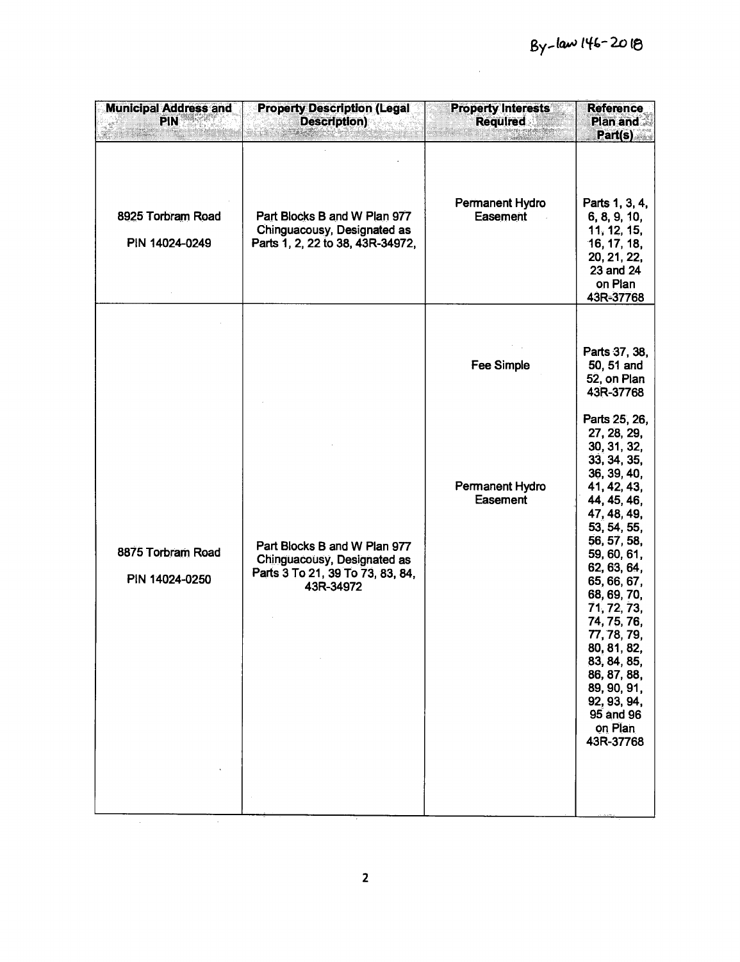$\frac{1}{2} \sum_{i=1}^{n} \frac{1}{2} \sum_{j=1}^{n} \frac{1}{2} \sum_{j=1}^{n} \frac{1}{2} \sum_{j=1}^{n} \frac{1}{2} \sum_{j=1}^{n} \frac{1}{2} \sum_{j=1}^{n} \frac{1}{2} \sum_{j=1}^{n} \frac{1}{2} \sum_{j=1}^{n} \frac{1}{2} \sum_{j=1}^{n} \frac{1}{2} \sum_{j=1}^{n} \frac{1}{2} \sum_{j=1}^{n} \frac{1}{2} \sum_{j=1}^{n} \frac{1}{2} \sum_{j=1}^{n$ 

| <b>Municipal Address and</b><br><b>PIN</b> | <b>Property Description (Legal</b><br><b>Description</b> )                                                   | <b>Property Interests</b><br><b>Required</b> | <b>Reference</b><br>Plan and<br>Part(s)                                                                                                                                                                                                                                                                                                                                                                                                  |
|--------------------------------------------|--------------------------------------------------------------------------------------------------------------|----------------------------------------------|------------------------------------------------------------------------------------------------------------------------------------------------------------------------------------------------------------------------------------------------------------------------------------------------------------------------------------------------------------------------------------------------------------------------------------------|
| 8925 Torbram Road<br>PIN 14024-0249        | Part Blocks B and W Plan 977<br>Chinguacousy, Designated as<br>Parts 1, 2, 22 to 38, 43R-34972,              | <b>Permanent Hydro</b><br><b>Easement</b>    | Parts 1, 3, 4,<br>6, 8, 9, 10,<br>11, 12, 15,<br>16, 17, 18,<br>20, 21, 22,<br>23 and 24<br>on Plan<br>43R-37768                                                                                                                                                                                                                                                                                                                         |
| 8875 Torbram Road<br>PIN 14024-0250        | Part Blocks B and W Plan 977<br>Chinguacousy, Designated as<br>Parts 3 To 21, 39 To 73, 83, 84,<br>43R-34972 | Fee Simple<br>Permanent Hydro<br>Easement    | Parts 37, 38,<br>50, 51 and<br>52, on Plan<br>43R-37768<br>Parts 25, 26,<br>27, 28, 29,<br>30, 31, 32,<br>33, 34, 35,<br>36, 39, 40,<br>41, 42, 43,<br>44, 45, 46,<br>47, 48, 49,<br>53, 54, 55,<br>56, 57, 58,<br>59, 60, 61,<br>62, 63, 64,<br>65, 66, 67,<br>68, 69, 70,<br>71, 72, 73,<br>74, 75, 76,<br>77, 78, 79,<br>80, 81, 82,<br>83, 84, 85,<br>86, 87, 88,<br>89, 90, 91,<br>92, 93, 94,<br>95 and 96<br>on Plan<br>43R-37768 |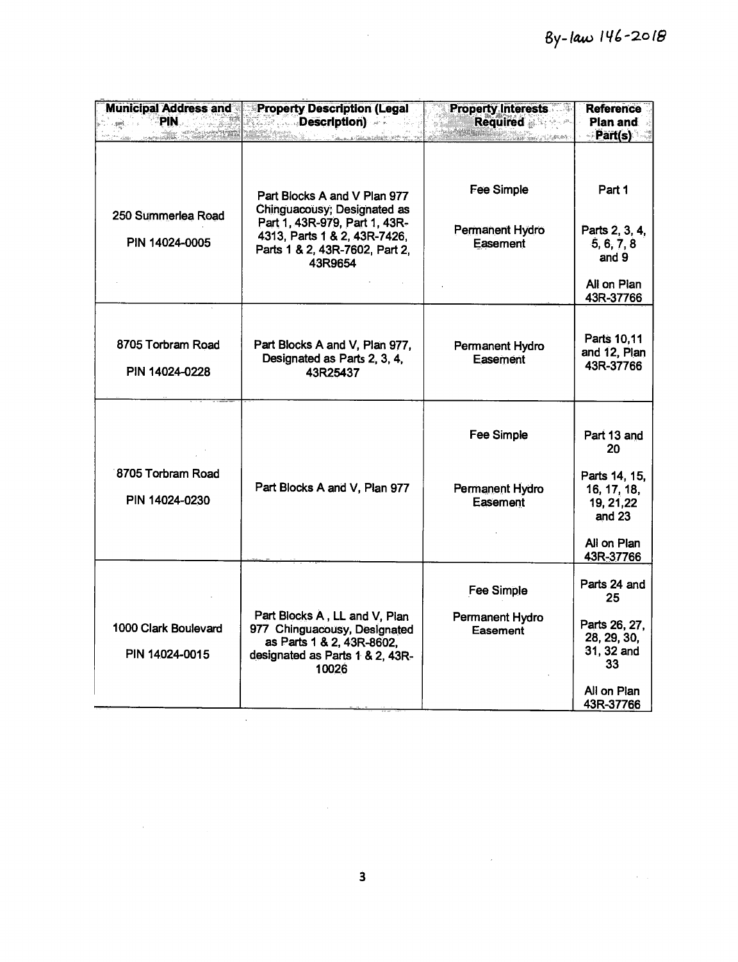| <b>Municipal Address and</b><br>∂PIN.<br>a <b>girl</b> e a con | <b>Property Description (Legal</b><br><b>Example Secription</b> )<br><u> Saman a Calendar Calendar (1996-1997)</u>                                                        | <b>Property Interests</b><br>Required <b>Required</b><br>dalah kalendar dan menarkat | <b>Reference</b><br>Plan and<br>Part(s)                                                                 |
|----------------------------------------------------------------|---------------------------------------------------------------------------------------------------------------------------------------------------------------------------|--------------------------------------------------------------------------------------|---------------------------------------------------------------------------------------------------------|
| 250 Summerlea Road<br>PIN 14024-0005                           | Part Blocks A and V Plan 977<br>Chinguacousy; Designated as<br>Part 1, 43R-979, Part 1, 43R-<br>4313, Parts 1 & 2, 43R-7426,<br>Parts 1 & 2, 43R-7602, Part 2,<br>43R9654 | Fee Simple<br>Permanent Hydro<br>Easement                                            | Part 1<br>Parts 2, 3, 4,<br>5, 6, 7, 8<br>and 9<br>All on Plan<br>43R-37766                             |
| 8705 Torbram Road<br>PIN 14024-0228                            | Part Blocks A and V, Plan 977,<br>Designated as Parts 2, 3, 4,<br>43R25437                                                                                                | Permanent Hydro<br>Easement                                                          | Parts 10,11<br>and 12, Plan<br>43R-37766                                                                |
| 8705 Torbram Road<br>PIN 14024-0230                            | Part Blocks A and V, Plan 977                                                                                                                                             | Fee Simple<br>Permanent Hydro<br>Easement                                            | Part 13 and<br>20<br>Parts 14, 15,<br>16, 17, 18,<br>19, 21, 22<br>and $23$<br>All on Plan<br>43R-37766 |
| 1000 Clark Boulevard<br>PIN 14024-0015                         | Part Blocks A, LL and V, Plan<br>977 Chinguacousy, Designated<br>as Parts 1 & 2, 43R-8602,<br>designated as Parts 1 & 2, 43R-<br>10026                                    | Fee Simple<br>Permanent Hydro<br>Easement                                            | Parts 24 and<br>25<br>Parts 26, 27,<br>28, 29, 30,<br>31, 32 and<br>33<br>All on Plan<br>43R-37766      |

 $\mathcal{L}^{\text{max}}_{\text{max}}$  and  $\mathcal{L}^{\text{max}}_{\text{max}}$ 

 $\label{eq:2} \mathcal{L} = \mathcal{L} \left( \mathcal{L} \right) \left( \mathcal{L} \right) \left( \mathcal{L} \right) \left( \mathcal{L} \right)$ 

 $\label{eq:1} \frac{1}{\sqrt{2\pi}}\int_{0}^{\infty}\frac{1}{\sqrt{2\pi}}\left(\frac{1}{\sqrt{2\pi}}\right)^{2}d\mu_{\rm{eff}}$ 

 $\mathcal{L}^{\text{max}}_{\text{max}}$ 

 $\label{eq:2.1} \frac{1}{\sqrt{2\pi}}\int_{\mathbb{R}^3}\frac{d\mu}{\sqrt{2\pi}}\left(\frac{d\mu}{\mu}\right)^2\frac{d\mu}{\sqrt{2\pi}}\frac{d\mu}{\sqrt{2\pi}}\frac{d\mu}{\sqrt{2\pi}}\frac{d\mu}{\sqrt{2\pi}}\frac{d\mu}{\sqrt{2\pi}}\frac{d\mu}{\sqrt{2\pi}}\frac{d\mu}{\sqrt{2\pi}}\frac{d\mu}{\sqrt{2\pi}}\frac{d\mu}{\sqrt{2\pi}}\frac{d\mu}{\sqrt{2\pi}}\frac{d\mu}{\sqrt{2\pi}}\frac{d\$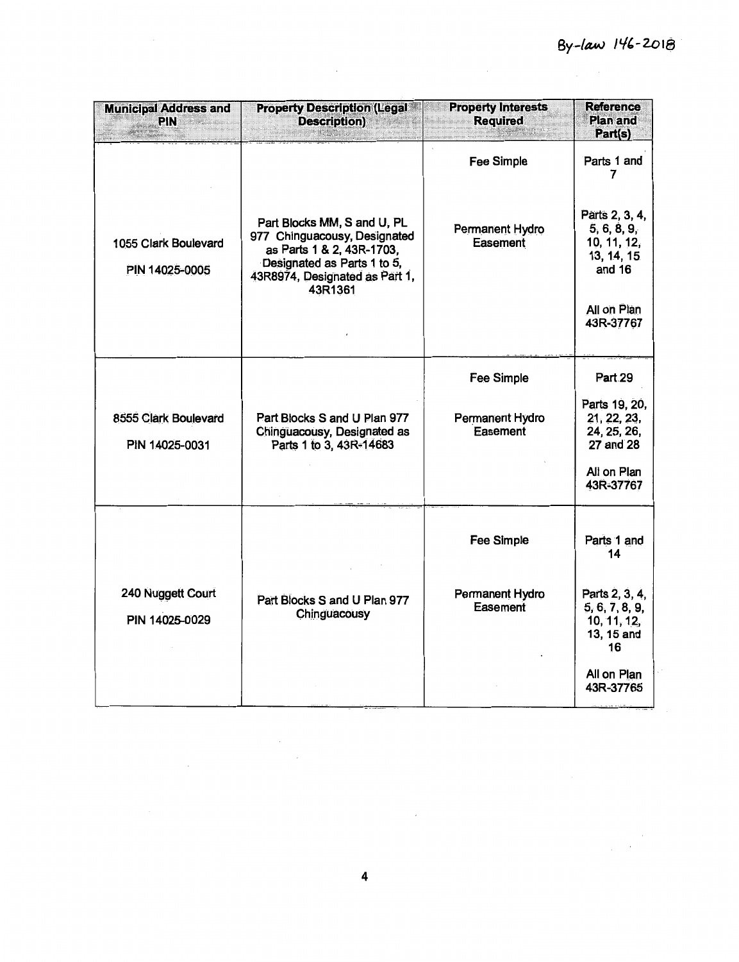$\label{eq:2} \frac{1}{\sqrt{2}}\left(\frac{1}{\sqrt{2}}\right)^{2} \frac{1}{\sqrt{2}}\left(\frac{1}{\sqrt{2}}\right)^{2}$ 

| <b>Municipal Address and</b><br><b>PIN</b> | <b>Property Description (Legal **</b><br><b>Description</b> )<br><b>Altanalia</b>                                                                                    | <b>Property Interests</b><br><b>Required</b><br><b>Imalactic Agent</b> | Reference<br><b>Plan and</b><br>Part(s)                              |
|--------------------------------------------|----------------------------------------------------------------------------------------------------------------------------------------------------------------------|------------------------------------------------------------------------|----------------------------------------------------------------------|
|                                            |                                                                                                                                                                      | Fee Simple                                                             | Parts 1 and<br>7                                                     |
| 1055 Clark Boulevard<br>PIN 14025-0005     | Part Blocks MM, S and U, PL<br>977 Chinguacousy, Designated<br>as Parts 1 & 2, 43R-1703,<br>Designated as Parts 1 to 5,<br>43R8974, Designated as Part 1,<br>43R1361 | Permanent Hydro<br>Easement                                            | Parts 2, 3, 4,<br>5, 6, 8, 9,<br>10, 11, 12,<br>13, 14, 15<br>and 16 |
|                                            |                                                                                                                                                                      |                                                                        | All on Plan<br>43R-37767                                             |
|                                            |                                                                                                                                                                      | <b>Fee Simple</b>                                                      | Part 29                                                              |
| 8555 Clark Boulevard<br>PIN 14025-0031     | Part Blocks S and U Plan 977<br>Chinguacousy, Designated as<br>Parts 1 to 3, 43R-14683                                                                               | Permanent Hydro<br>Easement                                            | Parts 19, 20,<br>21, 22, 23,<br>24, 25, 26,<br>27 and 28             |
|                                            |                                                                                                                                                                      |                                                                        | All on Plan<br>43R-37767                                             |
|                                            |                                                                                                                                                                      | Fee Simple                                                             | Parts 1 and<br>14                                                    |
| 240 Nuggett Court<br>PIN 14025-0029        | Part Blocks S and U Plan 977<br>Chinguacousy                                                                                                                         | Permanent Hydro<br>Easement                                            | Parts 2, 3, 4,<br>5, 6, 7, 8, 9,<br>10, 11, 12,<br>13, 15 and<br>16  |
|                                            |                                                                                                                                                                      |                                                                        | All on Plan<br>43R-37765                                             |

 $\mathcal{L}_{\mathrm{max}}$ 

 $\sim 10^6$ 

 $\mathcal{L}_{\text{max}}$  $\frac{1}{2}$  ,  $\frac{1}{2}$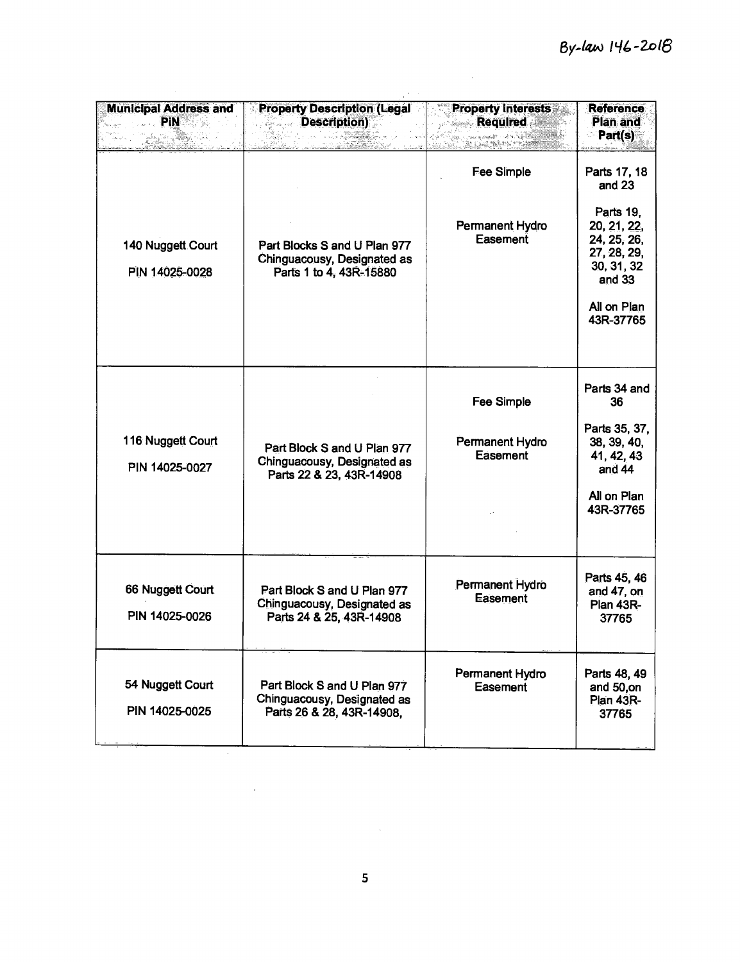| <b>Municipal Address and</b><br><b>Example PIN</b> 2005<br>San Arabi (n. | <b>Property Description (Legal</b><br><b>Example Description</b><br>ATA MANARA ANG MANARA | <b>Property Interests</b><br><b>Required</b>     | <b>Reference</b><br>Plan and<br>Part(s)                                                                                              |
|--------------------------------------------------------------------------|-------------------------------------------------------------------------------------------|--------------------------------------------------|--------------------------------------------------------------------------------------------------------------------------------------|
| 140 Nuggett Court<br>PIN 14025-0028                                      | Part Blocks S and U Plan 977<br>Chinguacousy, Designated as<br>Parts 1 to 4, 43R-15880    | <b>Fee Simple</b><br>Permanent Hydro<br>Easement | Parts 17, 18<br>and 23<br>Parts 19,<br>20, 21, 22,<br>24, 25, 26,<br>27, 28, 29,<br>30, 31, 32<br>and 33<br>All on Plan<br>43R-37765 |
| 116 Nuggett Court<br>PIN 14025-0027                                      | Part Block S and U Plan 977<br>Chinguacousy, Designated as<br>Parts 22 & 23, 43R-14908    | <b>Fee Simple</b><br>Permanent Hydro<br>Easement | Parts 34 and<br>36<br>Parts 35, 37,<br>38, 39, 40,<br>41, 42, 43<br>and $44$<br>All on Plan<br>43R-37765                             |
| 66 Nuggett Court<br>PIN 14025-0026                                       | Part Block S and U Plan 977<br>Chinguacousy, Designated as<br>Parts 24 & 25, 43R-14908    | Permanent Hydro<br><b>Easement</b>               | Parts 45, 46<br>and 47, on<br><b>Plan 43R-</b><br>37765                                                                              |
| 54 Nuggett Court<br>PIN 14025-0025                                       | Part Block S and U Plan 977<br>Chinguacousy, Designated as<br>Parts 26 & 28, 43R-14908,   | Permanent Hydro<br>Easement                      | Parts 48, 49<br>and 50,on<br><b>Plan 43R-</b><br>37765                                                                               |

 $\mathcal{L}^{\text{max}}_{\text{max}}$  and  $\mathcal{L}^{\text{max}}_{\text{max}}$ 

 $\mathcal{L}^{\mathcal{L}}(\mathcal{L}^{\mathcal{L}})$  and  $\mathcal{L}^{\mathcal{L}}(\mathcal{L}^{\mathcal{L}})$  and  $\mathcal{L}^{\mathcal{L}}(\mathcal{L}^{\mathcal{L}})$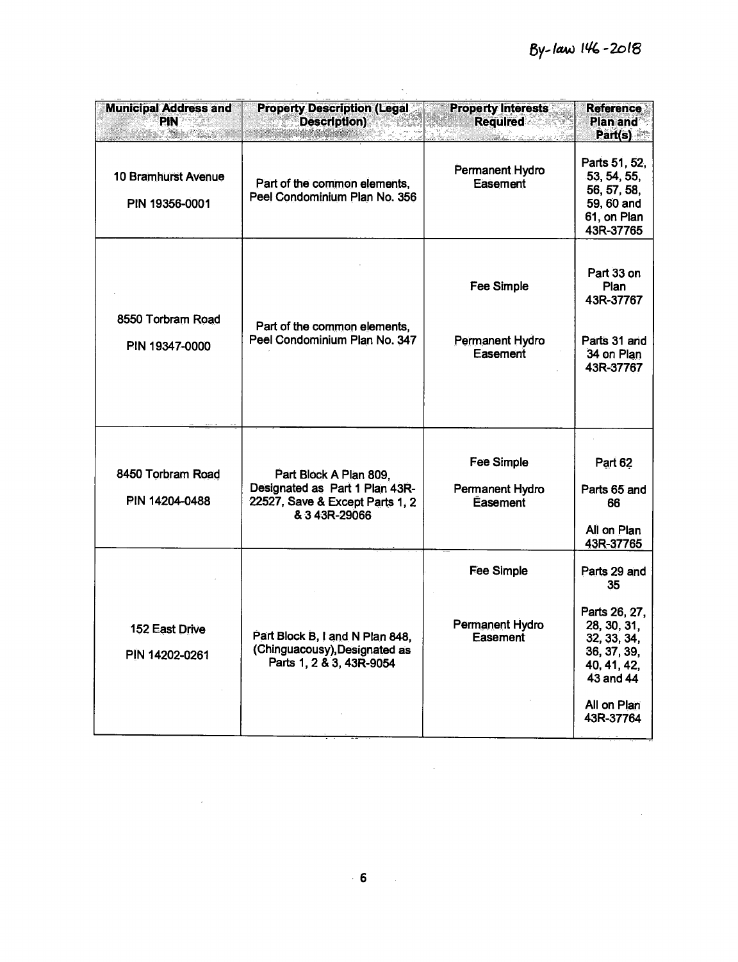$\mathcal{L}^{\text{max}}_{\text{max}}$  , where  $\mathcal{L}^{\text{max}}_{\text{max}}$ 

| <b>Municipal Address and</b><br><b>PIN?</b><br>tin Andria | <b>Property Description (Legal)</b><br>Description) <b>Description</b><br><b>GASA BALDA</b> IN               | <b>Property Interests</b><br><b>Required</b><br>an ang kalalahan na mga mga | <b>Reference</b><br><b>Plan and</b><br>Part(s)                                                                                           |
|-----------------------------------------------------------|--------------------------------------------------------------------------------------------------------------|-----------------------------------------------------------------------------|------------------------------------------------------------------------------------------------------------------------------------------|
| <b>10 Bramhurst Avenue</b><br>PIN 19356-0001              | Part of the common elements,<br>Peel Condominium Plan No. 356                                                | Permanent Hydro<br>Easement                                                 | Parts 51, 52,<br>53, 54, 55,<br>56, 57, 58,<br>59, 60 and<br>61, on Plan<br>43R-37765                                                    |
| 8550 Torbram Road<br>PIN 19347-0000                       | Part of the common elements,<br>Peel Condominium Plan No. 347                                                | <b>Fee Simple</b><br>Permanent Hydro<br>Easement                            | Part 33 on<br>Plan<br>43R-37767<br>Parts 31 and<br>34 on Plan<br>43R-37767                                                               |
| 8450 Torbram Road<br>PIN 14204-0488                       | Part Block A Plan 809,<br>Designated as Part 1 Plan 43R-<br>22527, Save & Except Parts 1, 2<br>& 3 43R-29066 | Fee Simple<br>Permanent Hydro<br>Easement                                   | Part 62<br>Parts 65 and<br>66<br>All on Plan<br>43R-37765                                                                                |
| 152 East Drive<br>PIN 14202-0261                          | Part Block B, I and N Plan 848,<br>(Chinguacousy), Designated as<br>Parts 1, 2 & 3, 43R-9054                 | Fee Simple<br>Permanent Hydro<br><b>Easement</b>                            | Parts 29 and<br>35<br>Parts 26, 27,<br>28, 30, 31,<br>32, 33, 34,<br>36, 37, 39,<br>40, 41, 42,<br>43 and 44<br>All on Plan<br>43R-37764 |

 $\label{eq:2.1} \frac{1}{2} \sum_{i=1}^n \frac{1}{2} \sum_{j=1}^n \frac{1}{2} \sum_{j=1}^n \frac{1}{2} \sum_{j=1}^n \frac{1}{2} \sum_{j=1}^n \frac{1}{2} \sum_{j=1}^n \frac{1}{2} \sum_{j=1}^n \frac{1}{2} \sum_{j=1}^n \frac{1}{2} \sum_{j=1}^n \frac{1}{2} \sum_{j=1}^n \frac{1}{2} \sum_{j=1}^n \frac{1}{2} \sum_{j=1}^n \frac{1}{2} \sum_{j=1}^n \frac{$ 

 $\label{eq:2.1} \frac{1}{\sqrt{2}}\int_{\mathbb{R}^3}\frac{1}{\sqrt{2}}\left(\frac{1}{\sqrt{2}}\right)^2\frac{1}{\sqrt{2}}\left(\frac{1}{\sqrt{2}}\right)^2\frac{1}{\sqrt{2}}\left(\frac{1}{\sqrt{2}}\right)^2.$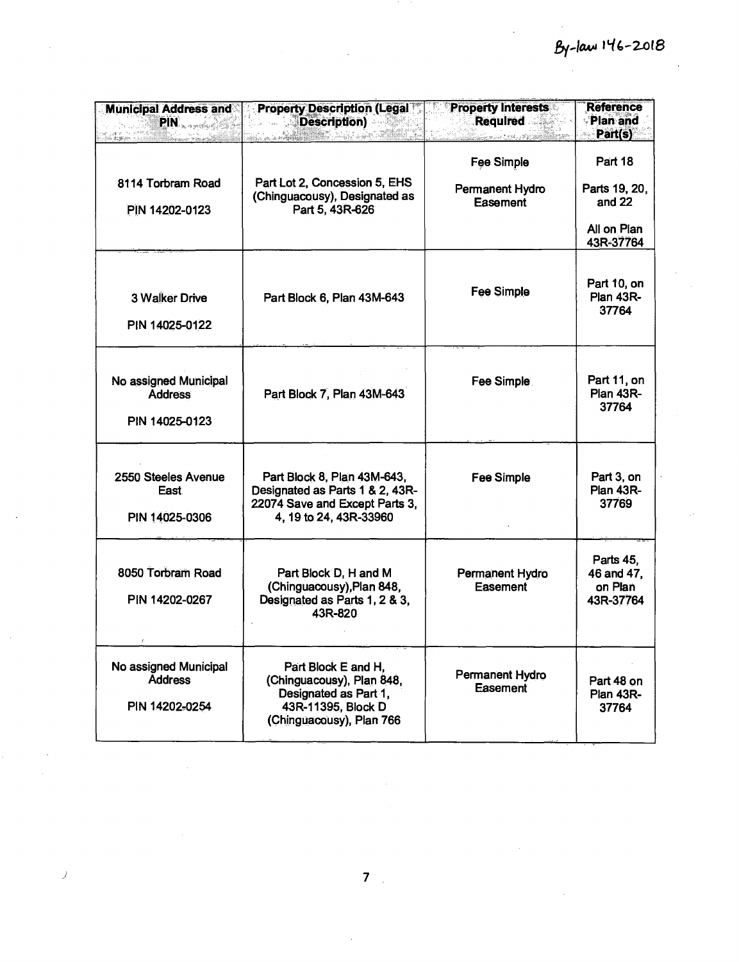| <b>Municipal Address and</b><br>$\text{PIN}_{\text{excess}(\text{c},\text{c})}$ | <b>Property Description (Legal **</b><br><b>Example School</b> Description)                                                 | <b>Property Interests</b><br><b>Required</b><br>$\{g_{1},\ldots,g_{n}\} \leq C \leq C \leq C \leq \frac{1}{2} \sum_{i=1}^{n} \sum_{j=1}^{n} \sum_{j=1}^{n} \sum_{j=1}^{n} \sum_{j=1}^{n} \sum_{j=1}^{n} \sum_{j=1}^{n} \sum_{j=1}^{n} \sum_{j=1}^{n} \sum_{j=1}^{n} \sum_{j=1}^{n} \sum_{j=1}^{n} \sum_{j=1}^{n} \sum_{j=1}^{n} \sum_{j=1}^{n} \sum_{j=1}^{n} \sum_{j=1}^{n} \sum_{j=1}^{n} \sum_{j$ | Reference<br>Plan and<br>Part(s)                                 |
|---------------------------------------------------------------------------------|-----------------------------------------------------------------------------------------------------------------------------|------------------------------------------------------------------------------------------------------------------------------------------------------------------------------------------------------------------------------------------------------------------------------------------------------------------------------------------------------------------------------------------------------|------------------------------------------------------------------|
| 8114 Torbram Road<br>PIN 14202-0123                                             | Part Lot 2, Concession 5, EHS<br>(Chinguacousy), Designated as<br>Part 5, 43R-626                                           | <b>Fee Simple</b><br>Permanent Hydro<br>Easement                                                                                                                                                                                                                                                                                                                                                     | Part 18<br>Parts 19, 20,<br>and $22$<br>All on Plan<br>43R-37764 |
| <b>3 Walker Drive</b><br>PIN 14025-0122                                         | Part Block 6, Plan 43M-643                                                                                                  | Fee Simple                                                                                                                                                                                                                                                                                                                                                                                           | Part 10, on<br><b>Plan 43R-</b><br>37764                         |
| No assigned Municipal<br><b>Address</b><br>PIN 14025-0123                       | Part Block 7, Plan 43M-643                                                                                                  | Fee Simple                                                                                                                                                                                                                                                                                                                                                                                           | Part 11, on<br><b>Plan 43R-</b><br>37764                         |
| 2550 Steeles Avenue<br>East<br>PIN 14025-0306                                   | Part Block 8, Plan 43M-643,<br>Designated as Parts 1 & 2, 43R-<br>22074 Save and Except Parts 3,<br>4, 19 to 24, 43R-33960  | <b>Fee Simple</b>                                                                                                                                                                                                                                                                                                                                                                                    | Part 3, on<br><b>Plan 43R-</b><br>37769                          |
| 8050 Torbram Road<br>PIN 14202-0267                                             | Part Block D, H and M<br>(Chinguacousy), Plan 848,<br>Designated as Parts 1, 2 & 3,<br>43R-820                              | Permanent Hydro<br>Easement                                                                                                                                                                                                                                                                                                                                                                          | Parts 45,<br>46 and 47,<br>on Plan<br>43R-37764                  |
| No assigned Municipal<br><b>Address</b><br>PIN 14202-0254                       | Part Block E and H,<br>(Chinguacousy), Plan 848,<br>Designated as Part 1,<br>43R-11395, Block D<br>(Chinguacousy), Plan 766 | Permanent Hydro<br>Easement                                                                                                                                                                                                                                                                                                                                                                          | Part 48 on<br><b>Plan 43R-</b><br>37764                          |

 $\bar{\bar{J}}$